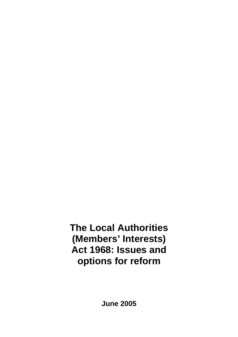# **The Local Authorities (Members' Interests) Act 1968: Issues and options for reform**

**June 2005**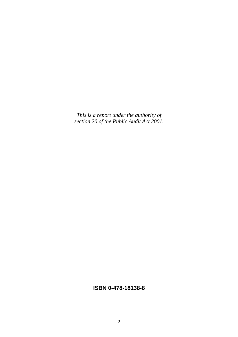*This is a report under the authority of section 20 of the Public Audit Act 2001.*

### **ISBN 0-478-18138-8**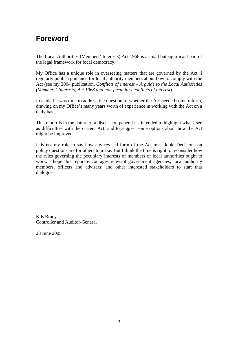## **Foreword**

The Local Authorities (Members' Interests) Act 1968 is a small but significant part of the legal framework for local democracy.

My Office has a unique role in overseeing matters that are governed by the Act. I regularly publish guidance for local authority members about how to comply with the Act (see my 2004 publication, *Conflicts of interest – A guide to the Local Authorities (Members' Interests) Act 1968 and non-pecuniary conflicts of interest*).

I decided it was time to address the question of whether the Act needed some reform, drawing on my Office's many years worth of experience in working with the Act on a daily basis.

This report is in the nature of a discussion paper. It is intended to highlight what I see as difficulties with the current Act, and to suggest some options about how the Act might be improved.

It is not my role to say how any revised form of the Act must look. Decisions on policy questions are for others to make. But I think the time is right to reconsider how the rules governing the pecuniary interests of members of local authorities ought to work. I hope this report encourages relevant government agencies; local authority members, officers and advisers; and other interested stakeholders to start that dialogue.

K B Brady Controller and Auditor-General

28 June 2005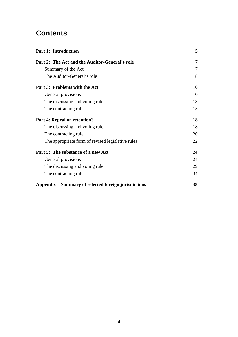## **Contents**

| <b>Part 1: Introduction</b>                          | 5  |
|------------------------------------------------------|----|
| Part 2: The Act and the Auditor-General's role       | 7  |
| Summary of the Act                                   | 7  |
| The Auditor-General's role                           | 8  |
| Part 3: Problems with the Act                        | 10 |
| General provisions                                   | 10 |
| The discussing and voting rule                       | 13 |
| The contracting rule                                 | 15 |
| Part 4: Repeal or retention?                         | 18 |
| The discussing and voting rule                       | 18 |
| The contracting rule                                 | 20 |
| The appropriate form of revised legislative rules    | 22 |
| Part 5: The substance of a new Act                   | 24 |
| General provisions                                   | 24 |
| The discussing and voting rule                       | 29 |
| The contracting rule                                 | 34 |
| Appendix – Summary of selected foreign jurisdictions | 38 |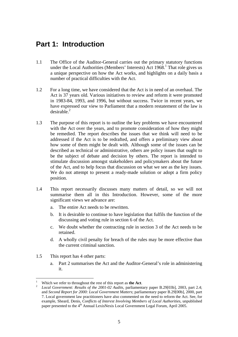## **Part 1: Introduction**

- 1.1 The Office of the Auditor-General carries out the primary statutory functions under the Local Authorities (Members' Interests)  $\text{Act } 1968$ .<sup>1</sup> That role gives us a unique perspective on how the Act works, and highlights on a daily basis a number of practical difficulties with the Act.
- 1.2 For a long time, we have considered that the Act is in need of an overhaul. The Act is 37 years old. Various initiatives to review and reform it were promoted in 1983-84, 1993, and 1996, but without success. Twice in recent years, we have expressed our view to Parliament that a modern restatement of the law is  $desirable.<sup>2</sup>$
- 1.3 The purpose of this report is to outline the key problems we have encountered with the Act over the years, and to promote consideration of how they might be remedied. The report describes the issues that we think will need to be addressed if the Act is to be redrafted, and offers a preliminary view about how some of them might be dealt with. Although some of the issues can be described as technical or administrative, others are policy issues that ought to be the subject of debate and decision by others. The report is intended to stimulate discussion amongst stakeholders and policymakers about the future of the Act, and to help focus that discussion on what we see as the key issues. We do not attempt to present a ready-made solution or adopt a firm policy position.
- 1.4 This report necessarily discusses many matters of detail, so we will not summarise them all in this Introduction. However, some of the more significant views we advance are:
	- a. The entire Act needs to be rewritten.
	- b. It is desirable to continue to have legislation that fulfils the function of the discussing and voting rule in section 6 of the Act.
	- c. We doubt whether the contracting rule in section 3 of the Act needs to be retained.
	- d. A wholly civil penalty for breach of the rules may be more effective than the current criminal sanction.
- 1.5 This report has 4 other parts:
	- a. Part 2 summarises the Act and the Auditor-General's role in administering it.

 $\overline{a}$ 1 Which we refer to throughout the rest of this report as **the Act**.

*Local Government: Results of the 2001-02 Audits*, parliamentary paper B.29[03b], 2003, part 2.4; and *Second Report for 2000: Local Government Matters*; parliamentary paper B.29[00b], 2000, part 7. Local government law practitioners have also commented on the need to reform the Act. See, for example, Sheard, Denis, *Conflicts of Interest Involving Members of Local Authorities*, unpublished paper presented to the 4<sup>th</sup> Annual LexisNexis Local Government Legal Forum, April 2005.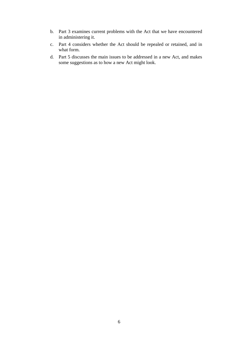- b. Part 3 examines current problems with the Act that we have encountered in administering it.
- c. Part 4 considers whether the Act should be repealed or retained, and in what form.
- d. Part 5 discusses the main issues to be addressed in a new Act, and makes some suggestions as to how a new Act might look.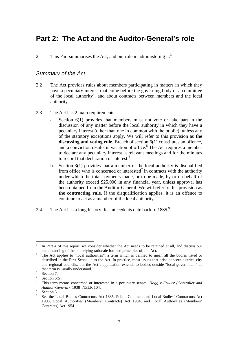## **Part 2: The Act and the Auditor-General's role**

2.1 This Part summarises the Act, and our role in administering it.<sup>3</sup>

#### *Summary of the Act*

- 2.2 The Act provides rules about members participating in matters in which they have a pecuniary interest that come before the governing body or a committee of the local authority<sup>4</sup>, and about contracts between members and the local authority.
- 2.3 The Act has 2 main requirements:
	- a. Section 6(1) provides that members must not vote or take part in the discussion of any matter before the local authority in which they have a pecuniary interest (other than one in common with the public), unless any of the statutory exceptions apply. We will refer to this provision as **the discussing and voting rule**. Breach of section 6(1) constitutes an offence, and a conviction results in vacation of office.<sup>5</sup> The Act requires a member to declare any pecuniary interest at relevant meetings and for the minutes to record that declaration of interest.<sup>6</sup>
	- b. Section 3(1) provides that a member of the local authority is disqualified from office who is concerned or interested<sup>7</sup> in contracts with the authority under which the total payments made, or to be made, by or on behalf of the authority exceed \$25,000 in any financial year, unless approval has been obtained from the Auditor-General. We will refer to this provision as **the contracting rule**. If the disqualification applies, it is an offence to continue to act as a member of the local authority. $8$
- 2.4 The Act has a long history. Its antecedents date back to  $1885<sup>9</sup>$

 $\overline{a}$ 3 In Part 4 of this report, we consider whether the Act needs to be retained at all, and discuss our understanding of the underlying rationale for, and principles of, the Act. 4

The Act applies to "local authorities", a term which is defined to mean all the bodies listed or described in the First Schedule to the Act. In practice, most issues that arise concern district, city and regional councils, but the Act's application extends to bodies outside "local government" as that term is usually understood.<br> $5 \cdot \frac{6 \cdot 1000 \cdot 7}{2 \cdot 1000 \cdot 7}$ 

Section 7.

<sup>6</sup> Section  $6(5)$ .

<sup>7</sup> This term means concerned or interested in a pecuniary sense: *Hogg v Fowler (Controller and Auditor-General*)<sup>[1938]</sup> NZLR 104.

Section 5.

<sup>9</sup> See the Local Bodies Contractors Act 1885, Public Contracts and Local Bodies' Contractors Act 1908, Local Authorities (Members' Contracts) Act 1934, and Local Authorities (Members' Contracts) Act 1954.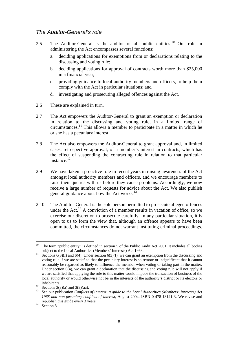#### *The Auditor-General's role*

- 2.5 The Auditor-General is the auditor of all public entities.<sup>10</sup> Our role in administering the Act encompasses several functions:
	- a. deciding applications for exemptions from or declarations relating to the discussing and voting rule;
	- b. deciding applications for approval of contracts worth more than \$25,000 in a financial year;
	- c. providing guidance to local authority members and officers, to help them comply with the Act in particular situations; and
	- d. investigating and prosecuting alleged offences against the Act.
- 2.6 These are explained in turn.
- 2.7 The Act empowers the Auditor-General to grant an exemption or declaration in relation to the discussing and voting rule, in a limited range of circumstances.11 This allows a member to participate in a matter in which he or she has a pecuniary interest.
- 2.8 The Act also empowers the Auditor-General to grant approval and, in limited cases, retrospective approval, of a member's interest in contracts, which has the effect of suspending the contracting rule in relation to that particular instance.<sup>12</sup>
- 2.9 We have taken a proactive role in recent years in raising awareness of the Act amongst local authority members and officers, and we encourage members to raise their queries with us before they cause problems. Accordingly, we now receive a large number of requests for advice about the Act. We also publish general guidance about how the Act works.<sup>13</sup>
- 2.10 The Auditor-General is the sole person permitted to prosecute alleged offences under the Act.<sup>14</sup> A conviction of a member results in vacation of office, so we exercise our discretion to prosecute carefully. In any particular situation, it is open to us to form the view that, although an offence appears to have been committed, the circumstances do not warrant instituting criminal proceedings.

 $\overline{a}$ 10 The term "public entity" is defined in section 5 of the Public Audit Act 2001. It includes all bodies

subject to the Local Authorities (Members' Interests) Act 1968.<br>Sections  $6(3)(f)$  and  $6(4)$ . Under section  $6(3)(f)$ , we can grant an exemption from the discussing and voting rule if we are satisfied that the pecuniary interest is so remote or insignificant that it cannot reasonably be regarded as likely to influence the member when voting or taking part in the matter. Under section 6(4), we can grant a declaration that the discussing and voting rule will not apply if we are satisfied that applying the rule to this matter would impede the transaction of business of the local authority or would otherwise not be in the interests of the authority's district or its electors or

inhabitants.<br><sup>12</sup> Sections 3(3)(a) and 3(3)(aa).

<sup>13</sup> See our publication *Conflicts of interest: a guide to the Local Authorities (Members' Interests) Act 1968 and non-pecuniary conflicts of interest*, August 2004, ISBN 0-478-18121-3. We revise and republish this guide every 3 years. 14 Section 8.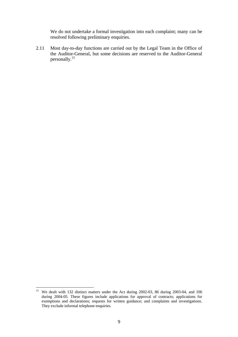We do not undertake a formal investigation into each complaint; many can be resolved following preliminary enquiries.

2.11 Most day-to-day functions are carried out by the Legal Team in the Office of the Auditor-General, but some decisions are reserved to the Auditor-General personally.<sup>15</sup>

 $15\,$ 15 We dealt with 132 distinct matters under the Act during 2002-03, 86 during 2003-04, and 106 during 2004-05. These figures include applications for approval of contracts; applications for exemptions and declarations; requests for written guidance; and complaints and investigations. They exclude informal telephone enquiries.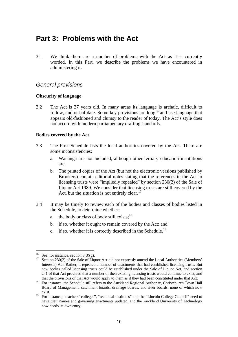## **Part 3: Problems with the Act**

3.1 We think there are a number of problems with the Act as it is currently worded. In this Part, we describe the problems we have encountered in administering it.

#### *General provisions*

#### **Obscurity of language**

3.2 The Act is 37 years old. In many areas its language is archaic, difficult to follow, and out of date. Some key provisions are  $\log^{16}$  and use language that appears old-fashioned and clumsy to the reader of today. The Act's style does not accord with modern parliamentary drafting standards.

#### **Bodies covered by the Act**

- 3.3 The First Schedule lists the local authorities covered by the Act. There are some inconsistencies:
	- a. Wananga are not included, although other tertiary education institutions are.
	- b. The printed copies of the Act (but not the electronic versions published by Brookers) contain editorial notes stating that the references in the Act to licensing trusts were "impliedly repealed" by section 230(2) of the Sale of Liquor Act 1989. We consider that licensing trusts are still covered by the Act, but the situation is not entirely clear.<sup>17</sup>
- 3.4 It may be timely to review each of the bodies and classes of bodies listed in the Schedule, to determine whether:
	- a. the body or class of body still exists;  $^{18}$
	- b. if so, whether it ought to remain covered by the Act; and
	- c. if so, whether it is correctly described in the Schedule.<sup>19</sup>

<sup>&</sup>lt;sup>16</sup> See, for instance, section 3(3)(g).

<sup>&</sup>lt;sup>17</sup> Section 230(2) of the Sale of Liquor Act did not expressly amend the Local Authorities (Members' Interests) Act. Rather, it repealed a number of enactments that had established licensing trusts. But new bodies called licensing trusts could be established under the Sale of Liquor Act, and section 241 of that Act provided that a number of then existing licensing trusts would continue to exist, and

that the provisions of that Act would apply to them as if they had been constituted under that Act.<br><sup>18</sup> For instance, the Schedule still refers to the Auckland Regional Authority, Christchurch Town Hall Board of Management, catchment boards, drainage boards, and river boards, none of which now exist.

<sup>&</sup>lt;sup>19</sup> For instance, "teachers' colleges", "technical institutes" and the "Lincoln College Council" need to have their names and governing enactments updated, and the Auckland University of Technology now needs its own entry.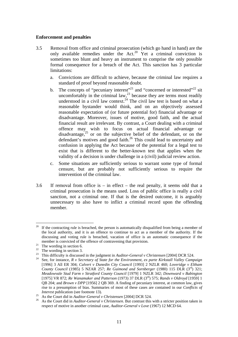#### **Enforcement and penalties**

- 3.5 Removal from office and criminal prosecution (which go hand in hand) are the only available remedies under the Act.<sup>20</sup> Yet a criminal conviction is sometimes too blunt and heavy an instrument to comprise the only possible formal consequence for a breach of the Act. This sanction has 3 particular limitations:
	- a. Convictions are difficult to achieve, because the criminal law requires a standard of proof beyond reasonable doubt.
	- b. The concepts of "pecuniary interest"<sup>21</sup> and "concerned or interested"<sup>22</sup> sit uncomfortably in the criminal law, $2<sup>3</sup>$  because they are terms most readily understood in a civil law context.<sup>24</sup> The civil law test is based on what a reasonable bystander would think, and on an objectively assessed reasonable expectation of (or future potential for) financial advantage or disadvantage. Moreover, issues of motive, good faith, and the actual financial result are irrelevant. By contrast, a Court dealing with a criminal offence may wish to focus on actual financial advantage or disadvantage, $25$  or on the subjective belief of the defendant, or on the defendant's motives and good faith.<sup>26</sup> This could lead to uncertainty and confusion in applying the Act because of the potential for a legal test to exist that is different to the better-known test that applies when the validity of a decision is under challenge in a (civil) judicial review action.
	- c. Some situations are sufficiently serious to warrant some type of formal censure, but are probably not sufficiently serious to require the intervention of the criminal law.
- 3.6 If removal from office is in effect the real penalty, it seems odd that a criminal prosecution is the means used. Loss of public office is really a civil sanction, not a criminal one. If that is the desired outcome, it is arguably unnecessary to also have to inflict a criminal record upon the offending member.

 $\overline{a}$ <sup>20</sup> If the contracting rule is breached, the person is automatically disqualified from being a member of the local authority, and it is an offence to continue to act as a member of the authority. If the discussing and voting rule is breached, vacation of office is an automatic consequence if the member is convicted of the offence of contravening that provision.<br><sup>21</sup> The wording in section 6.

<sup>&</sup>lt;sup>22</sup> The wording in section 3.

<sup>&</sup>lt;sup>23</sup> This difficulty is discussed in the judgment in *Auditor-General v Christensen* [2004] DCR 524.<br><sup>24</sup> See, for instance, *R v Secretary of State for the Environment, ex parte Kirkstall Valley Campaign* 

<sup>[1996] 3</sup> All ER 304; *Calvert v Dunedin City Council* [1993] 2 NZLR 460; *Loveridge v Eltham County Council* (1985) 5 NZAR 257; *Re Guimond and Sornberger* (1980) 115 DLR (3rd) 321; *Meadowvale Stud Farm v Stratford County Council* [1979] 1 NZLR 342; *Downward v Babington* [1975] VR 872; *Re Wanamaker and Patterson* (1973) 37 DLR (3rd) 575; *Rands v Oldroyd* [1959] 1 QB 204; and *Brown v DPP* [1956] 2 QB 369. A finding of pecuniary interest, at common law, gives rise to a presumption of bias. Summaries of most of these cases are contained in our *Conflicts of* 

*Interest* publication (see footnote 13).<br><sup>25</sup> As the Court did in *Auditor-General v Christensen* [2004] DCR 524.<br><sup>26</sup> As the Court did in *Auditor-General v Christensen*. But contrast this with a stricter position taken respect of motive in another criminal case, *Auditor-General v Love* (1967) 12 MCD 64.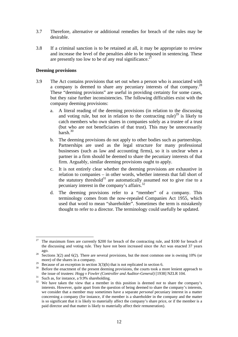- 3.7 Therefore, alternative or additional remedies for breach of the rules may be desirable.
- 3.8 If a criminal sanction is to be retained at all, it may be appropriate to review and increase the level of the penalties able to be imposed in sentencing. These are presently too low to be of any real significance.<sup>27</sup>

#### **Deeming provisions**

- 3.9 The Act contains provisions that set out when a person who is associated with a company is deemed to share any pecuniary interests of that company.28 These "deeming provisions" are useful in providing certainty for some cases, but they raise further inconsistencies. The following difficulties exist with the company deeming provisions:
	- a. A literal reading of the deeming provisions (in relation to the discussing and voting rule, but not in relation to the contracting rule)<sup>29</sup> is likely to catch members who own shares in companies solely as a trustee of a trust (but who are not beneficiaries of that trust). This may be unnecessarily harsh.30
	- b. The deeming provisions do not apply to other bodies such as partnerships. Partnerships are used as the legal structure for many professional businesses (such as law and accounting firms), so it is unclear when a partner in a firm should be deemed to share the pecuniary interests of that firm. Arguably, similar deeming provisions ought to apply.
	- c. It is not entirely clear whether the deeming provisions are exhaustive in relation to companies – in other words, whether interests that fall short of the statutory threshold<sup>31</sup> are automatically assumed *not* to give rise to a pecuniary interest in the company's affairs.<sup>32</sup>
	- d. The deeming provisions refer to a "member" of a company. This terminology comes from the now-repealed Companies Act 1955, which used that word to mean "shareholder". Sometimes the term is mistakenly thought to refer to a director. The terminology could usefully be updated.

<sup>27</sup> The maximum fines are currently \$200 for breach of the contracting rule, and \$100 for breach of the discussing and voting rule. They have not been increased since the Act was enacted 37 years

ago. 28 Sections 3(2) and 6(2). There are several provisions, but the most common one is owning 10% (or more) of the shares in a company.<br>Because of an exception in section  $3(3)(h)$  that is not replicated in section 6.

<sup>&</sup>lt;sup>30</sup> Before the enactment of the present deeming provisions, the courts took a more lenient approach to the issue of trustees: *Hogg v Fowler (Controller and Auditor-General)* [1938] NZLR 104. Such as, for instance, a 9.9% shareholding.

<sup>&</sup>lt;sup>32</sup> We have taken the view that a member in this position is deemed *not* to share the company's interests. However, quite apart from the question of being deemed to share the company's interests, we consider that a member may sometimes have a separate *personal* pecuniary interest in a matter concerning a company (for instance, if the member is a shareholder in the company and the matter is so significant that it is likely to materially affect the company's share price, or if the member is a paid director and that matter is likely to materially affect their remuneration).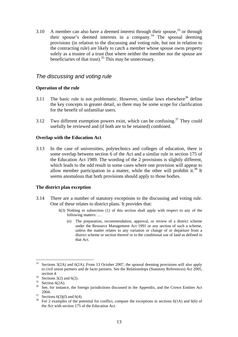3.10 A member can also have a deemed interest through their spouse,  $33$  or through their spouse's deemed interests in a company.<sup>34</sup> The spousal deeming provisions (in relation to the discussing and voting rule, but not in relation to the contracting rule) are likely to catch a member whose spouse owns property solely as a trustee of a trust (but where neither the member nor the spouse are beneficiaries of that trust).<sup>35</sup> This may be unnecessary.

#### *The discussing and voting rule*

#### **Operation of the rule**

- 3.11 The basic rule is not problematic. However, similar laws elsewhere<sup>36</sup> define the key concepts in greater detail, so there may be some scope for clarification for the benefit of unfamiliar users.
- 3.12 Two different exemption powers exist, which can be confusing.<sup>37</sup> They could usefully be reviewed and (if both are to be retained) combined.

#### **Overlap with the Education Act**

3.13 In the case of universities, polytechnics and colleges of education, there is some overlap between section 6 of the Act and a similar rule in section 175 of the Education Act 1989. The wording of the 2 provisions is slightly different, which leads to the odd result in some cases where one provision will appear to allow member participation in a matter, while the other will prohibit it.<sup>38</sup> It seems anomalous that both provisions should apply to those bodies.

#### **The district plan exception**

- 3.14 There are a number of statutory exceptions to the discussing and voting rule. One of these relates to district plans. It provides that:
	- 6(3) Nothing in subsection (1) of this section shall apply with respect to any of the following matters: …
		- (e) The preparation, recommendation, approval, or review of a district scheme under the Resource Management Act 1991 or any section of such a scheme, unless the matter relates to any variation or change of or departure from a district scheme or section thereof or to the conditional use of land as defined in that Act.

 $\overline{a}$  $33$  Sections 3(2A) and 6(2A). From 13 October 2007, the spousal deeming provisions will also apply to civil union partners and de facto partners. See the Relationships (Statutory References) Act 2005,

section 4.<br>Sections 3(2) and 6(2).

 $35$  Section 6(2A).

<sup>&</sup>lt;sup>36</sup> See, for instance, the foreign jurisdictions discussed in the Appendix, and the Crown Entities Act  $^{2004}$ .<br><sup>37</sup> Sections 6(3)(f) and 6(4).

<sup>&</sup>lt;sup>38</sup> For 2 examples of the potential for conflict, compare the exceptions in sections  $6(1A)$  and  $6(6)$  of the Act with section 175 of the Education Act.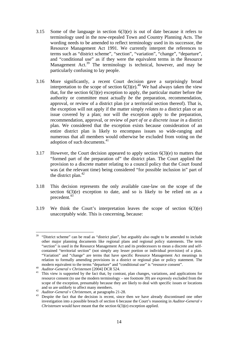- 3.15 Some of the language in section 6(3)(e) is out of date because it refers to terminology used in the now-repealed Town and Country Planning Acts. The wording needs to be amended to reflect terminology used in its successor, the Resource Management Act 1991. We currently interpret the references to terms such as "district scheme", "section", "variation", "change", "departure", and "conditional use" as if they were the equivalent terms in the Resource Management Act.<sup>39</sup> The terminology is technical, however, and may be particularly confusing to lay people.
- 3.16 More significantly, a recent Court decision gave a surprisingly broad interpretation to the scope of section  $6(3)(e)^{40}$ . We had always taken the view that, for the section  $6(3)(e)$  exception to apply, the particular matter before the authority or committee must actually *be* the preparation, recommendation, approval, or review of a district plan (or a territorial section thereof). That is, the exception will not apply if the matter simply *relates to* a district plan or an issue covered by a plan; nor will the exception apply to the preparation, recommendation, approval, or review of *part of* or *a discrete issue in* a district plan. We considered that the exception exists because consideration of an entire district plan is likely to encompass issues so wide-ranging and numerous that all members would otherwise be excluded from voting on the adoption of such documents.<sup>41</sup>
- 3.17 However, the Court decision appeared to apply section 6(3)(e) to matters that "formed part of the preparation of" the district plan. The Court applied the provision to a discrete matter relating to a council policy that the Court found was (at the relevant time) being considered "for possible inclusion in" part of the district plan.<sup>42</sup>
- 3.18 This decision represents the only available case-law on the scope of the section 6(3)(e) exception to date, and so is likely to be relied on as a precedent.<sup>43</sup>
- 3.19 We think the Court's interpretation leaves the scope of section 6(3)(e) unacceptably wide. This is concerning, because:

 $\overline{a}$  $39$  "District scheme" can be read as "district plan", but arguably also ought to be amended to include other major planning documents like regional plans and regional policy statements. The term "section" is used in the Resource Management Act and its predecessors to mean a discrete and selfcontained "territorial section" (not simply any lesser portion or individual provision) of a plan. "Variation" and "change" are terms that have specific Resource Management Act meanings in relation to formally amending provisions in a district or regional plan or policy statement. The

modern equivalent to the terms "departure" and "conditional use" is "resource consent".<br>
<sup>40</sup> Auditor-General v Christensen [2004] DCR 524.<br>
<sup>41</sup> This view is supported by the fact that, by contrast, plan changes, variatio resource consent (to use the modern terminology – see footnote 39) are expressly excluded from the scope of the exception, presumably because they are likely to deal with specific issues or locations <sup>42</sup> *Auditor-General v Christensen*, at paragraphs 21-28.<br><sup>43</sup> Despite the fact that the decision is recent, since then we have already discontinued one other

investigation into a possible breach of section 6 because the Court's reasoning in *Auditor-General v Christensen* would have meant that the section 6(3)(e) exception applied.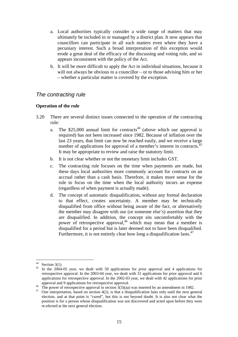- a. Local authorities typically consider a wide range of matters that may ultimately be included in or managed by a district plan. It now appears that councillors can participate in all such matters even where they have a pecuniary interest. Such a broad interpretation of this exception would erode a great deal of the efficacy of the discussing and voting rule, and so appears inconsistent with the policy of the Act.
- b. It will be more difficult to apply the Act in individual situations, because it will not always be obvious to a councillor – or to those advising him or her – whether a particular matter is covered by the exception.

#### *The contracting rule*

#### **Operation of the rule**

- 3.20 There are several distinct issues connected to the operation of the contracting rule:
	- a. The \$25,000 annual limit for contracts<sup>44</sup> (above which our approval is required) has not been increased since 1982. Because of inflation over the last 23 years, that limit can now be reached easily, and we receive a large number of applications for approval of a member's interest in contracts.<sup>45</sup> It may be appropriate to review and raise the statutory limit.
	- b. It is not clear whether or not the monetary limit includes GST.
	- c. The contracting rule focuses on the time when payments are made, but these days local authorities more commonly account for contracts on an accrual rather than a cash basis. Therefore, it makes more sense for the rule to focus on the time when the local authority incurs an expense (regardless of when payment is actually made).
	- d. The concept of automatic disqualification, without any formal declaration to that effect, creates uncertainty. A member may be technically disqualified from office without being aware of the fact, or alternatively the member may disagree with our (or someone else's) assertion that they are disqualified. In addition, the concept sits uncomfortably with the power of retrospective approval,<sup>46</sup> which may mean that a member is disqualified for a period but is later deemed not to have been disqualified. Furthermore, it is not entirely clear how long a disqualification lasts.<sup>47</sup>

 $44$ Section  $3(1)$ .

In the 2004-05 year, we dealt with 50 applications for prior approval and 4 applications for retrospective approval. In the 2003-04 year, we dealt with 31 applications for prior approval and 6 applications for retrospective approval. In the 2002-03 year, we dealt with 42 applications for prior

approval and 9 applications for retrospective approval.<br><sup>46</sup> The power of retrospective approval in section  $3(3)(aa)$  was inserted by an amendment in 1982.<br><sup>47</sup> One interpretation, based on section 4(2), is that a disquali

election, and at that point is "cured", but this is not beyond doubt. It is also not clear what the position is for a person whose disqualification was not discovered and acted upon before they were re-elected at the next general election.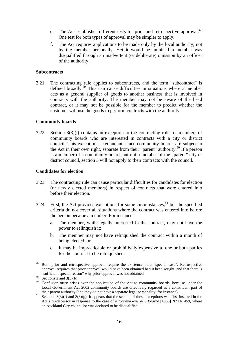- e. The Act establishes different tests for prior and retrospective approval.<sup>48</sup> One test for both types of approval may be simpler to apply.
- f. The Act requires applications to be made only by the local authority, not by the member personally. Yet it would be unfair if a member was disqualified through an inadvertent (or deliberate) omission by an officer of the authority.

#### **Subcontracts**

3.21 The contracting rule applies to subcontracts, and the term "subcontract" is defined broadly.<sup>49</sup> This can cause difficulties in situations where a member acts as a general supplier of goods to another business that is involved in contracts with the authority. The member may not be aware of the head contract, or it may not be possible for the member to predict whether the customer will use the goods to perform contracts with the authority.

#### **Community boards**

3.22 Section 3(3)(j) contains an exception to the contracting rule for members of community boards who are interested in contracts with a city or district council. This exception is redundant, since community boards are subject to the Act in their own right, separate from their "parent" authority.<sup>50</sup> If a person is a member of a community board, but not a member of the "parent" city or district council, section 3 will not apply to their contracts with the council.

#### **Candidates for election**

- 3.23 The contracting rule can cause particular difficulties for candidates for election (or newly elected members) in respect of contracts that were entered into before their election.
- 3.24 First, the Act provides exceptions for some circumstances,<sup>51</sup> but the specified criteria do not cover all situations where the contract was entered into before the person became a member. For instance:
	- a. The member, while legally interested in the contract, may not have the power to relinquish it;
	- b. The member may not have relinquished the contract within a month of being elected; or
	- c. It may be impracticable or prohibitively expensive to one or both parties for the contract to be relinquished.

<sup>48</sup> 48 Both prior and retrospective approval require the existence of a "special case". Retrospective approval requires that prior approval would have been obtained had it been sought, and that there is "sufficient special reason" why prior approval was not obtained.

<sup>&</sup>lt;sup>49</sup> Sections 2 and 3(3)(b).

<sup>&</sup>lt;sup>50</sup> Confusion often arises over the application of the Act to community boards, because under the Local Government Act 2002 community boards are effectively regarded as a constituent part of

their parent authority (and they do not have a separate legal personality, for instance).<br><sup>51</sup> Sections 3(3)(f) and 3(3)(g). It appears that the second of these exceptions was first inserted in the Act's predecessor in response to the case of *Attorney-General v Pearce* [1963] NZLR 459, where an Auckland City councillor was declared to be disqualified.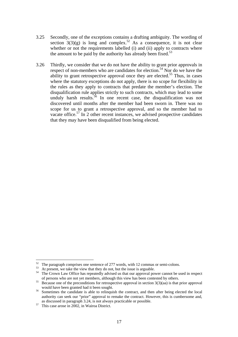- 3.25 Secondly, one of the exceptions contains a drafting ambiguity. The wording of section  $3(3)(g)$  is long and complex.<sup>52</sup> As a consequence, it is not clear whether or not the requirements labelled (i) and (ii) apply to contracts where the amount to be paid by the authority has already been fixed.<sup>53</sup>
- 3.26 Thirdly, we consider that we do not have the ability to grant prior approvals in respect of non-members who are candidates for election.<sup>54</sup> Nor do we have the ability to grant retrospective approval once they are elected.<sup>55</sup> Thus, in cases where the statutory exceptions do not apply, there is no scope for flexibility in the rules as they apply to contracts that predate the member's election. The disqualification rule applies strictly to such contracts, which may lead to some unduly harsh results.<sup>56</sup> In one recent case, the disqualification was not discovered until months after the member had been sworn in. There was no scope for us to grant a retrospective approval, and so the member had to vacate office.<sup>57</sup> In 2 other recent instances, we advised prospective candidates that they may have been disqualified from being elected.

 $52$  The paragraph comprises one sentence of 277 words, with 12 commas or semi-colons.

 $\frac{1}{53}$  At present, we take the view that they do not, but the issue is arguable.

<sup>&</sup>lt;sup>54</sup> The Crown Law Office has repeatedly advised us that our approval power cannot be used in respect of persons who are not yet members, although this view has been contested by others.<br><sup>55</sup> Because one of the preconditions for retrospective approval in section  $3(3)(aa)$  is that prior approval

would have been granted had it been sought.<br><sup>56</sup> Sometimes the candidate is able to relinquish the contract, and then after being elected the local

authority can seek our "prior" approval to remake the contract. However, this is cumbersome and, as discussed in paragraph 3.24, is not always practicable or possible. 57 This case arose in 2002, in Wairoa District.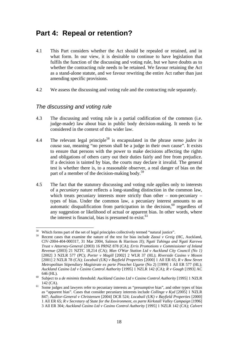## **Part 4: Repeal or retention?**

- 4.1 This Part considers whether the Act should be repealed or retained, and in what form. In our view, it is desirable to continue to have legislation that fulfils the function of the discussing and voting rule, but we have doubts as to whether the contracting rule needs to be retained. We favour retaining the Act as a stand-alone statute, and we favour rewriting the entire Act rather than just amending specific provisions.
- 4.2 We assess the discussing and voting rule and the contracting rule separately.

#### *The discussing and voting rule*

- 4.3 The discussing and voting rule is a partial codification of the common (i.e. judge-made) law about bias in public body decision-making. It needs to be considered in the context of this wider law.
- 4.4 The relevant legal principle58 is encapsulated in the phrase *nemo judex in causa sua*, meaning "no person shall be a judge in their own cause". It exists to ensure that persons with the power to make decisions affecting the rights and obligations of others carry out their duties fairly and free from prejudice. If a decision is tainted by bias, the courts may declare it invalid. The general test is whether there is, to a reasonable observer, a real danger of bias on the part of a member of the decision-making body.<sup>59</sup>
- 4.5 The fact that the statutory discussing and voting rule applies only to interests of a *pecuniary* nature reflects a long-standing distinction in the common law, which treats pecuniary interests more strictly than other – non-pecuniary – types of bias. Under the common law, a pecuniary interest amounts to an automatic disqualification from participation in the decision, $60$  regardless of any suggestion or likelihood of actual or apparent bias. In other words, where the interest is financial, bias is presumed to exist.  $61$

 $\overline{a}$ 58 Which forms part of the set of legal principles collectively termed "natural justice".

<sup>59</sup> Recent cases that examine the nature of the test for bias include *Zaoui v Greig* (HC, Auckland, CIV-2004-404-000317, 31 Mar 2004, Salmon & Harrison JJ); *Ngati Tahinga and Ngati Karewa Trust v Attorney-General* (2003) 16 PRNZ 878 (CA); *Erris Promotions v Commissioner of Inland Revenue* (2003) 21 NZTC 18,214 (CA); *Man O'War Station Ltd v Auckland City Council (No 1)* [2002] 3 NZLR 577 (PC); *Porter v Magill* [2002] 2 WLR 37 (HL); *Riverside Casino v Moxon* [2001] 2 NZLR 78 (CA); *Locabail (UK) v Bayfield Properties* [2000] 1 All ER 65; *R v Bow Street Metropolitan Stipendiary Magistrate ex parte Pinochet Ugarte* (No 2) [1999] 1 All ER 577 (HL); *Auckland Casino Ltd v Casino Control Authority* [1995] 1 NZLR 142 (CA); *R v Gough* [1993] AC

<sup>646 (</sup>HL). 60 Subject to a *de minimis* threshold: *Auckland Casino Ltd v Casino Control Authority* [1995] 1 NZLR

<sup>142 (</sup>CA).<br><sup>61</sup> Some judges and lawyers refer to pecuniary interests as "presumptive bias", and other types of bias as "apparent bias". Cases that consider pecuniary interests include *Collinge v Kyd* [2005] 1 NZLR 847; *Auditor-General v Christensen* [2004] DCR 524; *Locabail (UK) v Bayfield Properties* [2000] 1 All ER 65; *R v Secretary of State for the Environment, ex parte Kirkstall Valley Campaign* [1996] 3 All ER 304; *Auckland Casino Ltd v Casino Control Authority* [1995] 1 NZLR 142 (CA); *Calvert*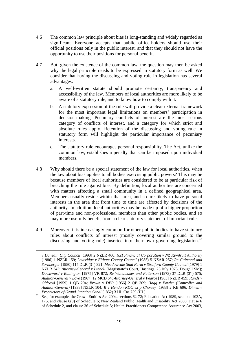- 4.6 The common law principle about bias is long-standing and widely regarded as significant. Everyone accepts that public office-holders should use their official positions only in the public interest, and that they should not have the opportunity to use their positions for personal benefit.
- 4.7 But, given the existence of the common law, the question may then be asked why the legal principle needs to be expressed in statutory form as well. We consider that having the discussing and voting rule in legislation has several advantages:
	- a. A well-written statute should promote certainty, transparency and accessibility of the law. Members of local authorities are more likely to be aware of a statutory rule, and to know how to comply with it.
	- b. A statutory expression of the rule will provide a clear external framework for the most important legal limitations on members' participation in decision-making. Pecuniary conflicts of interest are the most serious category of conflicts of interest, and a category for which strict and absolute rules apply. Retention of the discussing and voting rule in statutory form will highlight the particular importance of pecuniary interests.
	- c. The statutory rule encourages personal responsibility. The Act, unlike the common law, establishes a penalty that can be imposed upon individual members.
- 4.8 Why should there be a special statement of the law for local authorities, when the law about bias applies to all bodies exercising public powers? This may be because members of local authorities are considered to be at particular risk of breaching the rule against bias. By definition, local authorities are concerned with matters affecting a small community in a defined geographical area. Members usually reside within that area, and so are likely to have personal interests in the area that from time to time are affected by decisions of the authority. In addition, local authorities may be made up of a higher proportion of part-time and non-professional members than other public bodies, and so may more usefully benefit from a clear statutory statement of important rules.
- 4.9 Moreover, it is increasingly common for other public bodies to have statutory rules about conflicts of interest (mostly covering similar ground to the discussing and voting rule) inserted into their own governing legislation.<sup>62</sup>

*v Dunedin City Council* [1993] 2 NZLR 460; *NZI Financial Corporation v NZ Kiwifruit Authority* [1986] 1 NZLR 159; *Loveridge v Eltham County Council* (1985) 5 NZAR 257; *Re Guimond and Sornberger* (1980) 115 DLR (3rd) 321; *Meadowvale Stud Farm v Stratford County Council* [1979] 1 NZLR 342; *Attorney-General v Linnell* (Magistrate's Court, Hastings, 23 July 1976, Dougall SM); *Downward v Babington* [1975] VR 872; *Re Wanamaker and Patterson* (1973) 37 DLR (3rd) 575; *Auditor-General v Love* (1967) 12 MCD 64; *Attorney-General v Pearce* [1963] NZLR 459; *Rands v Oldroyd* [1959] 1 QB 204; *Brown v DPP* [1956] 2 QB 369; *Hogg v Fowler (Controller and Auditor-General)* [1938] NZLR 104; *R v Hendon RDC ex p Chorley* [1933] 2 KB 696; *Dimes v* 

*Proprietors of Grand Junction Canal* (1852) 3 HL Cas 759 (HL).<br><sup>62</sup> See, for example, the Crown Entities Act 2004, sections 62-72; Education Act 1989, sections 103A, 175, and clause 8(8) of Schedule 6; New Zealand Public Health and Disability Act 2000, clause 6 of Schedule 2, and clause 36 of Schedule 3; Health Practitioners Competence Assurance Act 2003,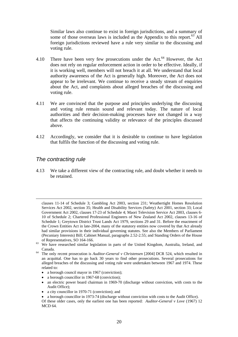Similar laws also continue to exist in foreign jurisdictions, and a summary of some of those overseas laws is included as the Appendix to this report.<sup>63</sup> All foreign jurisdictions reviewed have a rule very similar to the discussing and voting rule.

- 4.10 There have been very few prosecutions under the Act.<sup>64</sup> However, the Act. does not rely on regular enforcement action in order to be effective. Ideally, if it is working well, members will not breach it at all. We understand that local authority awareness of the Act is generally high. Moreover, the Act does not appear to be irrelevant. We continue to receive a steady stream of enquiries about the Act, and complaints about alleged breaches of the discussing and voting rule.
- 4.11 We are convinced that the purpose and principles underlying the discussing and voting rule remain sound and relevant today. The nature of local authorities and their decision-making processes have not changed in a way that affects the continuing validity or relevance of the principles discussed above.
- 4.12 Accordingly, we consider that it is desirable to continue to have legislation that fulfils the function of the discussing and voting rule.

#### *The contracting rule*

4.13 We take a different view of the contracting rule, and doubt whether it needs to be retained.

- a borough council mayor in 1967 (conviction);
- a borough councillor in 1967-68 (conviction);
- an electric power board chairman in 1969-70 (discharge without conviction, with costs to the Audit Office);
- a city councillor in 1970-71 (conviction); and

clauses 11-14 of Schedule 3; Gambling Act 2003, section 231; Weathertight Homes Resolution Services Act 2002, section 35; Health and Disability Services (Safety) Act 2001, section 33; Local Government Act 2002, clauses 17-23 of Schedule 4; Maori Television Service Act 2003, clauses 6- 10 of Schedule 2; Chartered Professional Engineers of New Zealand Act 2002, clauses 13-16 of Schedule 1; Greytown District Trust Lands Act 1979, sections 29 and 31. Before the enactment of the Crown Entities Act in late-2004, many of the statutory entities now covered by that Act already had similar provisions in their individual governing statutes. See also the Members of Parliament (Pecuniary Interests) Bill; Cabinet Manual, paragraphs 2.52-2.55; and Standing Orders of the House

of Representatives, SO 164-166. 63 We have researched similar legislation in parts of the United Kingdom, Australia, Ireland, and

Canada. 64 The only recent prosecution is *Auditor-General v Christensen* [2004] DCR 524, which resulted in an acquittal. One has to go back 30 years to find other prosecutions. Several prosecutions for alleged breaches of the discussing and voting rule were undertaken between 1967 and 1974. These related to:

**<sup>•</sup>** a borough councillor in 1973-74 (discharge without conviction with costs to the Audit Office).

Of these older cases, only the earliest one has been reported: *Auditor-General v Love* (1967) 12 MCD 64.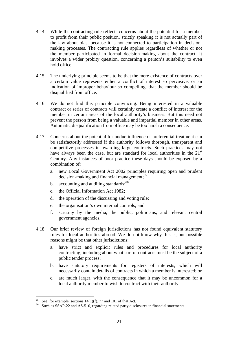- 4.14 While the contracting rule reflects concerns about the potential for a member to profit from their public position, strictly speaking it is not actually part of the law about bias, because it is not connected to participation in decisionmaking processes. The contracting rule applies regardless of whether or not the member participated in formal decision-making about the contract. It involves a wider probity question, concerning a person's suitability to even hold office.
- 4.15 The underlying principle seems to be that the mere existence of contracts over a certain value represents either a conflict of interest so pervasive, or an indication of improper behaviour so compelling, that the member should be disqualified from office.
- 4.16 We do not find this principle convincing. Being interested in a valuable contract or series of contracts will certainly create a conflict of interest for the member in certain areas of the local authority's business. But this need not prevent the person from being a valuable and impartial member in other areas. Automatic disqualification from office may be too harsh a consequence.
- 4.17 Concerns about the potential for undue influence or preferential treatment can be satisfactorily addressed if the authority follows thorough, transparent and competitive processes in awarding large contracts. Such practices may not have always been the case, but are standard for local authorities in the 21<sup>st</sup> Century. Any instances of poor practice these days should be exposed by a combination of:
	- a. new Local Government Act 2002 principles requiring open and prudent decision-making and financial management;<sup>65</sup>
	- b. accounting and auditing standards: $66$
	- c. the Official Information Act 1982;
	- d. the operation of the discussing and voting rule;
	- e. the organisation's own internal controls; and
	- f. scrutiny by the media, the public, politicians, and relevant central government agencies.
- 4.18 Our brief review of foreign jurisdictions has not found equivalent statutory rules for local authorities abroad. We do not know why this is, but possible reasons might be that other jurisdictions:
	- a. have strict and explicit rules and procedures for local authority contracting, including about what sort of contracts must be the subject of a public tender process;
	- b. have statutory requirements for registers of interests, which will necessarily contain details of contracts in which a member is interested; or
	- c. are much larger, with the consequence that it may be uncommon for a local authority member to wish to contract with their authority.

<sup>&</sup>lt;sup>65</sup> See, for example, sections  $14(1)(f)$ , 77 and 101 of that Act.

<sup>&</sup>lt;sup>66</sup> Such as SSAP-22 and AS-510, regarding related party disclosures in financial statements.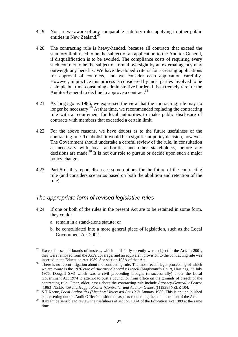- 4.19 Nor are we aware of any comparable statutory rules applying to other public entities in New Zealand.<sup>67</sup>
- 4.20 The contracting rule is heavy-handed, because all contracts that exceed the statutory limit need to be the subject of an application to the Auditor-General, if disqualification is to be avoided. The compliance costs of requiring every such contract to be the subject of formal oversight by an external agency may outweigh any benefits. We have developed criteria for assessing applications for approval of contracts, and we consider each application carefully. However, in practice this process is considered by most parties involved to be a simple but time-consuming administrative burden. It is extremely rare for the Auditor-General to decline to approve a contract.<sup>68</sup>
- 4.21 As long ago as 1986, we expressed the view that the contracting rule may no longer be necessary.<sup>69</sup> At that time, we recommended replacing the contracting rule with a requirement for local authorities to make public disclosure of contracts with members that exceeded a certain limit.
- 4.22 For the above reasons, we have doubts as to the future usefulness of the contracting rule. To abolish it would be a significant policy decision, however. The Government should undertake a careful review of the rule, in consultation as necessary with local authorities and other stakeholders, before any decisions are made.70 It is not our role to pursue or decide upon such a major policy change.
- 4.23 Part 5 of this report discusses some options for the future of the contracting rule (and considers scenarios based on both the abolition and retention of the rule).

#### *The appropriate form of revised legislative rules*

- 4.24 If one or both of the rules in the present Act are to be retained in some form, they could:
	- a. remain in a stand-alone statute; or

 $\overline{a}$ 

b. be consolidated into a more general piece of legislation, such as the Local Government Act 2002.

 $67$  Except for school boards of trustees, which until fairly recently were subject to the Act. In 2001, they were removed from the Act's coverage, and an equivalent provision to the contracting rule was

inserted in the Education Act 1989. See section 103A of that Act.<br><sup>68</sup> There is no recent litigation about the contracting rule. The most recent legal proceeding of which we are aware is the 1976 case of *Attorney-General v Linnell* (Magistrate's Court, Hastings, 23 July 1976, Dougall SM) which was a civil proceeding brought (unsuccessfully) under the Local Government Act 1974 to attempt to oust a councillor from office on the grounds of breach of the contracting rule. Other, older, cases about the contracting rule include *Attorney-General v Pearce* [1963] NZLR 459 and *Hogg v Fowler (Controller and Auditor-General)* [1938] NZLR 104. 69 S T Keene, *Local Authorities (Members' Interests) Act 1968*, January 1986. This is an unpublished

paper setting out the Audit Office's position on aspects concerning the administration of the Act.<br><sup>70</sup> It might be sensible to review the usefulness of section 103A of the Education Act 1989 at the same

time.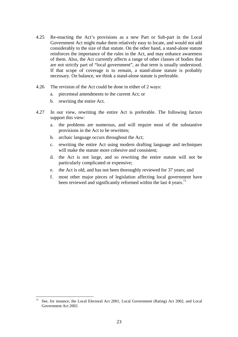- 4.25 Re-enacting the Act's provisions as a new Part or Sub-part in the Local Government Act might make them relatively easy to locate, and would not add considerably to the size of that statute. On the other hand, a stand-alone statute reinforces the importance of the rules in the Act, and may enhance awareness of them. Also, the Act currently affects a range of other classes of bodies that are not strictly part of "local government", as that term is usually understood. If that scope of coverage is to remain, a stand-alone statute is probably necessary. On balance, we think a stand-alone statute is preferable.
- 4.26 The revision of the Act could be done in either of 2 ways:
	- a. piecemeal amendments to the current Act; or
	- b. rewriting the entire Act.

- 4.27 In our view, rewriting the entire Act is preferable. The following factors support this view:
	- a. the problems are numerous, and will require most of the substantive provisions in the Act to be rewritten;
	- b. archaic language occurs throughout the Act;
	- c. rewriting the entire Act using modern drafting language and techniques will make the statute more cohesive and consistent;
	- d. the Act is not large, and so rewriting the entire statute will not be particularly complicated or expensive;
	- e. the Act is old, and has not been thoroughly reviewed for 37 years; and
	- f. most other major pieces of legislation affecting local government have been reviewed and significantly reformed within the last 4 years.<sup>71</sup>

<sup>71</sup> See, for instance, the Local Electoral Act 2001, Local Government (Rating) Act 2002, and Local Government Act 2002.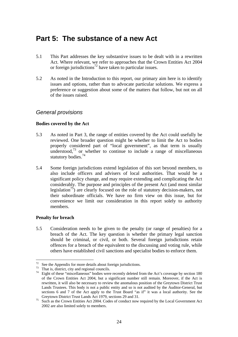## **Part 5: The substance of a new Act**

- 5.1 This Part addresses the key substantive issues to be dealt with in a rewritten Act. Where relevant, we refer to approaches that the Crown Entities Act 2004 or foreign jurisdictions<sup>72</sup> have taken to particular issues.
- 5.2 As noted in the Introduction to this report, our primary aim here is to identify issues and options, rather than to advocate particular solutions. We express a preference or suggestion about some of the matters that follow, but not on all of the issues raised.

#### *General provisions*

#### **Bodies covered by the Act**

- 5.3 As noted in Part 3, the range of entities covered by the Act could usefully be reviewed. One broader question might be whether to limit the Act to bodies properly considered part of "local government", as that term is usually understood, $^{73}$  or whether to continue to include a range of miscellaneous statutory bodies.<sup>74</sup>
- 5.4 Some foreign jurisdictions extend legislation of this sort beyond members, to also include officers and advisers of local authorities. That would be a significant policy change, and may require extending and complicating the Act considerably. The purpose and principles of the present Act (and most similar legislation<sup>75</sup>) are clearly focused on the role of statutory decision-makers, not their subordinate officials. We have no firm view on this issue, but for convenience we limit our consideration in this report solely to authority members.

#### **Penalty for breach**

 $\overline{a}$ 

5.5 Consideration needs to be given to the penalty (or range of penalties) for a breach of the Act. The key question is whether the primary legal sanction should be criminal, or civil, or both. Several foreign jurisdictions retain offences for a breach of the equivalent to the discussing and voting rule, while others have established civil sanctions and specialist bodies to enforce them.

 $72$  See the Appendix for more details about foreign jurisdictions.

 $73$  That is, district, city and regional councils.

<sup>&</sup>lt;sup>74</sup> Eight of these "miscellaneous" bodies were recently deleted from the Act's coverage by section 180 of the Crown Entities Act 2004, but a significant number still remain. Moreover, if the Act is rewritten, it will also be necessary to review the anomalous position of the Greytown District Trust Lands Trustees. This body is not a public entity and so is not audited by the Auditor-General, but sections 6 and 7 of the Act apply to the Trust Board "as if" it was a local authority. See the

Greytown District Trust Lands Act 1979, sections 29 and 31. 75 Such as the Crown Entities Act 2004. Codes of conduct now required by the Local Government Act 2002 are also limited solely to members.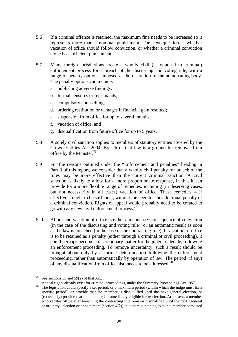- 5.6 If a criminal offence is retained, the maximum fine needs to be increased so it represents more than a nominal punishment. The next question is whether vacation of office should follow conviction, or whether a criminal conviction alone is a sufficient punishment.
- 5.7 Many foreign jurisdictions create a wholly civil (as opposed to criminal) enforcement process for a breach of the discussing and voting rule, with a range of penalty options, imposed at the discretion of the adjudicating body. The penalty options can include:
	- a. publishing adverse findings;
	- b. formal censures or reprimands;
	- c. compulsory counselling;
	- d. ordering restitution or damages if financial gain resulted;
	- e. suspension from office for up to several months;
	- f. vacation of office; and
	- g. disqualification from future office for up to 5 years.
- 5.8 A solely civil sanction applies to members of statutory entities covered by the Crown Entities Act 2004. Breach of that law is a ground for removal from office by the Minister.76
- 5.9 For the reasons outlined under the "Enforcement and penalties" heading in Part 3 of this report, we consider that a wholly civil penalty for breach of the rules may be more effective than the current criminal sanction. A civil sanction is likely to allow for a more proportionate response, in that it can provide for a more flexible range of remedies, including (in deserving cases, but not necessarily in all cases) vacation of office. These remedies – if effective – ought to be sufficient, without the need for the additional penalty of a criminal conviction. Rights of appeal would probably need to be created to go with any new civil enforcement process.77
- 5.10 At present, vacation of office is either a mandatory consequence of conviction (in the case of the discussing and voting rule), or an automatic result as soon as the law is breached (in the case of the contracting rule). If vacation of office is to be retained as a penalty (either through a criminal or civil proceeding), it could perhaps become a discretionary matter for the judge to decide, following an enforcement proceeding. To remove uncertainty, such a result should be brought about only by a formal determination following the enforcement proceeding, rather than automatically by operation of law. The period (if any) of any disqualification from office also needs to be addressed.<sup>78</sup>

 $76$  See sections 53 and 59(2) of that Act.

 $77$  Appeal rights already exist for criminal proceedings, under the Summary Proceedings Act 1957.<br><sup>78</sup> The legislation could specify a set period, or a maximum period (within which the judge must fix a specific period), or provide that the member is disqualified until the next general election, or (conversely) provide that the member is immediately eligible for re-election. At present, a member who vacates office after breaching the contracting rule remains disqualified until the next "general or ordinary" election or appointment (section  $4(2)$ ), but there is nothing to stop a member convicted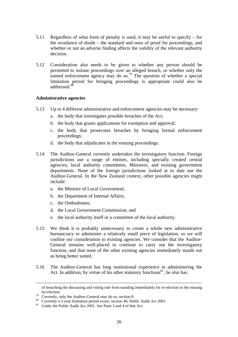- 5.11 Regardless of what form of penalty is used, it may be useful to specify for the avoidance of doubt – the standard and onus of proof for proceedings, and whether or not an adverse finding affects the validity of the relevant authority decision.
- 5.12 Consideration also needs to be given to whether any person should be permitted to initiate proceedings over an alleged breach, or whether only the named enforcement agency may do so.<sup>79</sup> The question of whether a special limitation period for bringing proceedings is appropriate could also be addressed.<sup>80</sup>

#### **Administrative agencies**

- 5.13 Up to 4 different administrative and enforcement agencies may be necessary:
	- a. the body that investigates possible breaches of the Act;
	- b. the body that grants applications for exemption and approval;
	- c. the body that prosecutes breaches by bringing formal enforcement proceedings;
	- d. the body that adjudicates in the ensuing proceedings.
- 5.14 The Auditor-General currently undertakes the investigatory function. Foreign jurisdictions use a range of entities, including specially created central agencies, local authority committees, Ministers, and existing government departments. None of the foreign jurisdictions looked at to date use the Auditor-General. In the New Zealand context, other possible agencies might include:
	- a. the Minister of Local Government;
	- b. the Department of Internal Affairs;
	- c. the Ombudsmen;
	- d. the Local Government Commission; and
	- e. the local authority itself or a committee of the local authority.
- 5.15 We think it is probably unnecessary to create a whole new administrative bureaucracy to administer a relatively small piece of legislation, so we will confine our consideration to existing agencies. We consider that the Auditor-General remains well-placed to continue to carry out the investigatory function, and that none of the other existing agencies immediately stands out as being better suited.
- 5.16 The Auditor-General has long institutional experience in administering the Act. In addition, by virtue of his other statutory functions $81$ , he also has:

of breaching the discussing and voting rule from standing immediately for re-election in the ensuing by-election.<br>
The Currently, only the Auditor-General may do so: section 8.

<sup>&</sup>lt;sup>80</sup> Currently a 2-year limitation period exists: section 40, Public Audit Act 2001.

<sup>&</sup>lt;sup>81</sup> Under the Public Audit Act 2001. See Parts 3 and 4 of that Act.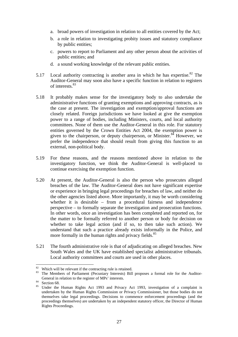- a. broad powers of investigation in relation to all entities covered by the Act;
- b. a role in relation to investigating probity issues and statutory compliance by public entities;
- c. powers to report to Parliament and any other person about the activities of public entities; and
- d. a sound working knowledge of the relevant public entities.
- 5.17 Local authority contracting is another area in which he has expertise.<sup>82</sup> The Auditor-General may soon also have a specific function in relation to registers of interests  $83$
- 5.18 It probably makes sense for the investigatory body to also undertake the administrative functions of granting exemptions and approving contracts, as is the case at present. The investigation and exemption/approval functions are closely related. Foreign jurisdictions we have looked at give the exemption power to a range of bodies, including Ministers, courts, and local authority committees. None of them use the Auditor-General in this role. For statutory entities governed by the Crown Entities Act 2004, the exemption power is given to the chairperson, or deputy chairperson, or Minister. $84$  However, we prefer the independence that should result from giving this function to an external, non-political body.
- 5.19 For these reasons, and the reasons mentioned above in relation to the investigatory function, we think the Auditor-General is well-placed to continue exercising the exemption function.
- 5.20 At present, the Auditor-General is also the person who prosecutes alleged breaches of the law. The Auditor-General does not have significant expertise or experience in bringing legal proceedings for breaches of law, and neither do the other agencies listed above. More importantly, it may be worth considering whether it is desirable – from a procedural fairness and independence perspective – to formally separate the investigation and prosecution functions. In other words, once an investigation has been completed and reported on, for the matter to be formally referred to another person or body for decision on whether to take legal action (and if so, to then take such action). We understand that such a practice already exists informally in the Police, and more formally in the human rights and privacy fields.<sup>85</sup>
- 5.21 The fourth administrative role is that of adjudicating on alleged breaches. New South Wales and the UK have established specialist administrative tribunals. Local authority committees and courts are used in other places.

 $82$  Which will be relevant if the contracting rule is retained.

<sup>&</sup>lt;sup>83</sup> The Members of Parliament (Pecuniary Interests) Bill proposes a formal role for the Auditor-General in relation to the register of MPs' interests.<br>Section 68.

<sup>&</sup>lt;sup>85</sup> Under the Human Rights Act 1993 and Privacy Act 1993, investigation of a complaint is undertaken by the Human Rights Commission or Privacy Commissioner, but those bodies do not themselves take legal proceedings. Decisions to commence enforcement proceedings (and the proceedings themselves) are undertaken by an independent statutory officer, the Director of Human Rights Proceedings.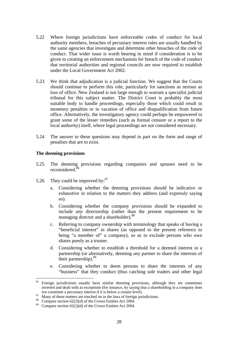- 5.22 Where foreign jurisdictions have enforceable codes of conduct for local authority members, breaches of pecuniary interest rules are usually handled by the same agencies that investigate and determine other breaches of the code of conduct. That wider issue is worth bearing in mind if consideration is to be given to creating an enforcement mechanism for breach of the code of conduct that territorial authorities and regional councils are now required to establish under the Local Government Act 2002.
- 5.23 We think that adjudication is a judicial function. We suggest that the Courts should continue to perform this role, particularly for sanctions as serious as loss of office. New Zealand is not large enough to warrant a specialist judicial tribunal for this subject matter. The District Court is probably the most suitable body to handle proceedings, especially those which could result in monetary penalties or in vacation of office and disqualification from future office. Alternatively, the investigatory agency could perhaps be empowered to grant some of the lesser remedies (such as formal censure or a report to the local authority) itself, where legal proceedings are not considered necessary.
- 5.24 The answer to these questions may depend in part on the form and range of penalties that are to exist.

#### **The deeming provisions**

- 5.25 The deeming provisions regarding companies and spouses need to be reconsidered<sup>86</sup>
- 5.26 They could be improved by:<sup>87</sup>
	- a. Considering whether the deeming provisions should be indicative or exhaustive in relation to the matters they address (and expressly saying so).
	- b. Considering whether the company provisions should be expanded to include *any* directorship (rather than the present requirement to be managing director and a shareholder).<sup>88</sup>
	- c. Referring to company ownership with terminology that speaks of having a "beneficial interest" in shares (as opposed to the present reference to being "a member of" a company), so as to exclude persons who own shares purely as a trustee.
	- d. Considering whether to establish a threshold for a deemed interest in a partnership (or alternatively, deeming *any* partner to share the interests of their partnership).89
	- e. Considering whether to deem persons to share the interests of any "business" that they conduct (thus catching sole traders and other legal

<sup>86</sup> 86 Foreign jurisdictions usually have similar deeming provisions, although they are sometimes inverted and dealt with as exceptions (for instance, by saying that a shareholding in a company does not constitute a pecuniary interest if it is below a certain level).<br><sup>87</sup> Many of these matters are touched on in the laws of foreign jurisdictions.

 $88$  Compare section 62(2)(d) of the Crown Entities Act 2004.

<sup>&</sup>lt;sup>89</sup> Compare section 62(2)(d) of the Crown Entities Act 2004.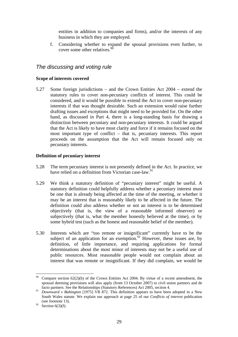entities in addition to companies and firms), and/or the interests of any business in which they are employed.

f. Considering whether to expand the spousal provisions even further, to cover some other relatives.  $90$ 

#### *The discussing and voting rule*

#### **Scope of interests covered**

5.27 Some foreign jurisdictions – and the Crown Entities Act 2004 – extend the statutory rules to cover non-pecuniary conflicts of interest. This could be considered, and it would be possible to extend the Act to cover non-pecuniary interests if that was thought desirable. Such an extension would raise further drafting issues and exceptions that might need to be provided for. On the other hand, as discussed in Part 4, there is a long-standing basis for drawing a distinction between pecuniary and non-pecuniary interests. It could be argued that the Act is likely to have most clarity and force if it remains focused on the most important type of conflict – that is, pecuniary interests. This report proceeds on the assumption that the Act will remain focused only on pecuniary interests.

#### **Definition of pecuniary interest**

- 5.28 The term pecuniary interest is not presently defined in the Act. In practice, we have relied on a definition from Victorian case-law.<sup>91</sup>
- 5.29 We think a statutory definition of "pecuniary interest" might be useful. A statutory definition could helpfully address whether a pecuniary interest must be one that is already being affected at the time of the meeting, or whether it may be an interest that is reasonably likely to be affected in the future. The definition could also address whether or not an interest is to be determined objectively (that is, the view of a reasonable informed observer) or subjectively (that is, what the member honestly believed at the time), or by some hybrid test (such as the honest and reasonable belief of the member).
- 5.30 Interests which are "too remote or insignificant" currently have to be the subject of an application for an exemption.<sup>92</sup> However, these issues are, by definition, of little importance, and requiring applications for formal determinations about the most minor of interests may not be a useful use of public resources. Most reasonable people would not complain about an interest that was remote or insignificant. If they did complain, we would be

<sup>90</sup> Compare section  $62(2)(b)$  of the Crown Entities Act 2004. By virtue of a recent amendment, the spousal deeming provisions will also apply (from 13 October 2007) to civil union partners and de facto partners. See the Relationships (Statutory References) Act 2005, section 4.

<sup>&</sup>lt;sup>91</sup> *Downward v Babington* [1975] VR 872. This definition appears to have been adopted in a New South Wales statute. We explain our approach at page 25 of our *Conflicts of interest* publication (see footnote 13).

 $92$  Section 6(3)(f).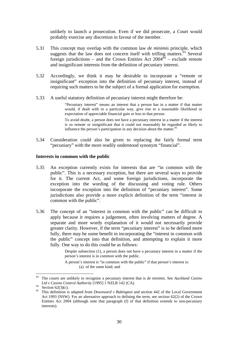unlikely to launch a prosecution. Even if we did prosecute, a Court would probably exercise any discretion in favour of the member.

- 5.31 This concept may overlap with the common law *de minimis* principle, which suggests that the law does not concern itself with trifling matters.<sup>93</sup> Several foreign jurisdictions – and the Crown Entities Act  $2004\frac{94}{9}$  – exclude remote and insignificant interests from the definition of pecuniary interest.
- 5.32 Accordingly, we think it may be desirable to incorporate a "remote or insignificant" exception into the definition of pecuniary interest, instead of requiring such matters to be the subject of a formal application for exemption.
- 5.33 A useful statutory definition of pecuniary interest might therefore be:

"Pecuniary interest" means an interest that a person has in a matter if that matter would, if dealt with in a particular way, give rise to a reasonable likelihood or expectation of appreciable financial gain or loss to that person.

To avoid doubt, a person does not have a pecuniary interest in a matter if the interest is so remote or insignificant that it could not reasonably be regarded as likely to influence the person's participation in any decision about the matter.<sup>95</sup>

5.34 Consideration could also be given to replacing the fairly formal term "pecuniary" with the more readily understood synonym "financial".

#### **Interests in common with the public**

- 5.35 An exception currently exists for interests that are "in common with the public". This is a necessary exception, but there are several ways to provide for it. The current Act, and some foreign jurisdictions, incorporate the exception into the wording of the discussing and voting rule. Others incorporate the exception into the definition of "pecuniary interest". Some jurisdictions also provide a more explicit definition of the term "interest in common with the public".
- 5.36 The concept of an "interest in common with the public" can be difficult to apply because it requires a judgement, often involving matters of degree. A separate and more wordy explanation of it would not necessarily provide greater clarity. However, if the term "pecuniary interest" is to be defined more fully, there may be some benefit in incorporating the "interest in common with the public" concept into that definition, and attempting to explain it more fully. One way to do this could be as follows:

Despite subsection (1), a person does not have a pecuniary interest in a matter if the person's interest is in common with the public.

A person's interest is "in common with the public" if that person's interest is: (a) of the same kind; and

<sup>93</sup> The courts are unlikely to recognise a pecuniary interest that is *de minimis*. See *Auckland Casino Ltd v Casino Control Authority* [1995] 1 NZLR 142 (CA).

<sup>94</sup> **Section 62(3)(c)**.

<sup>95</sup> This definition is adapted from *Downward v Babington* and section 442 of the Local Government Act 1993 (NSW). For an alternative approach to defining the term, see section 62(2) of the Crown Entities Act 2004 (although note that paragraph (f) of that definition extends to non-pecuniary interests).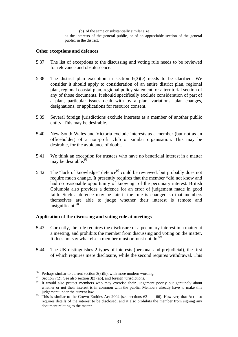(b) of the same or substantially similar size as the interests of the general public, or of an appreciable section of the general public, in the district.

#### **Other exceptions and defences**

- 5.37 The list of exceptions to the discussing and voting rule needs to be reviewed for relevance and obsolescence.
- 5.38 The district plan exception in section 6(3)(e) needs to be clarified. We consider it should apply to consideration of an entire district plan, regional plan, regional coastal plan, regional policy statement, or a territorial section of any of those documents. It should specifically exclude consideration of part of a plan, particular issues dealt with by a plan, variations, plan changes, designations, or applications for resource consent.
- 5.39 Several foreign jurisdictions exclude interests as a member of another public entity. This may be desirable.
- 5.40 New South Wales and Victoria exclude interests as a member (but not as an officeholder) of a non-profit club or similar organisation. This may be desirable, for the avoidance of doubt.
- 5.41 We think an exception for trustees who have no beneficial interest in a matter may be desirable.<sup>96</sup>
- 5.42 The "lack of knowledge" defence  $97$  could be reviewed, but probably does not require much change. It presently requires that the member "did not know and had no reasonable opportunity of knowing" of the pecuniary interest. British Columbia also provides a defence for an error of judgement made in good faith. Such a defence may be fair if the rule is changed so that members themselves are able to judge whether their interest is remote and insignificant.<sup>98</sup>

#### **Application of the discussing and voting rule at meetings**

- 5.43 Currently, the rule requires the disclosure of a pecuniary interest in a matter at a meeting, and prohibits the member from discussing and voting on the matter. It does not say what else a member must or must not do.<sup>99</sup>
- 5.44 The UK distinguishes 2 types of interests (personal and prejudicial), the first of which requires mere disclosure, while the second requires withdrawal. This

 $\overline{a}$ <sup>96</sup> Perhaps similar to current section  $3(3)(h)$ , with more modern wording.

<sup>&</sup>lt;sup>97</sup> Section 7(2). See also section 3(3)(ab), and foreign jurisdictions.

<sup>&</sup>lt;sup>98</sup> It would also protect members who may exercise their judgement poorly but genuinely about whether or not their interest is in common with the public. Members already have to make this

judgement under the current law. 99 This is similar to the Crown Entities Act 2004 (see sections 63 and 66). However, that Act also requires details of the interest to be disclosed, and it also prohibits the member from signing any document relating to the matter.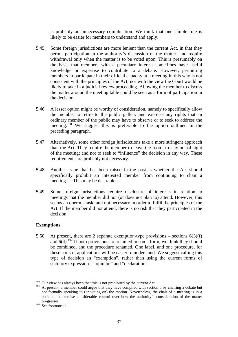is probably an unnecessary complication. We think that one simple rule is likely to be easier for members to understand and apply.

- 5.45 Some foreign jurisdictions are more lenient than the current Act, in that they permit participation in the authority's discussion of the matter, and require withdrawal only when the matter is to be voted upon. This is presumably on the basis that members with a pecuniary interest sometimes have useful knowledge or expertise to contribute to a debate. However, permitting members to participate in their official capacity at a meeting in this way is not consistent with the principles of the Act; nor with the view the Court would be likely to take in a judicial review proceeding. Allowing the member to discuss the matter around the meeting table could be seen as a form of participation in the decision.
- 5.46 A lesser option might be worthy of consideration, namely to specifically allow the member to retire to the public gallery and exercise any rights that an ordinary member of the public may have to observe or to seek to address the meeting.<sup>100</sup> We suggest this is preferable to the option outlined in the preceding paragraph.
- 5.47 Alternatively, some other foreign jurisdictions take a more stringent approach than the Act. They require the member to leave the room; to stay out of sight of the meeting; and not to seek to "influence" the decision in any way. These requirements are probably not necessary.
- 5.48 Another issue that has been raised in the past is whether the Act should specifically prohibit an interested member from continuing to chair a meeting.<sup>101</sup> This may be desirable.
- 5.49 Some foreign jurisdictions require disclosure of interests in relation to meetings that the member did not (or does not plan to) attend. However, this seems an onerous task, and not necessary in order to fulfil the principles of the Act. If the member did not attend, there is no risk that they participated in the decision.

#### **Exemptions**

5.50 At present, there are 2 separate exemption-type provisions – sections  $6(3)(f)$ and  $6(4)$ .<sup>102</sup> If both provisions are retained in some form, we think they should be combined, and the procedure renamed. One label, and one procedure, for these sorts of applications will be easier to understand. We suggest calling this type of decision an "exemption", rather than using the current forms of statutory expression – "opinion" and "declaration".

 $100$  Our view has always been that this is not prohibited by the current Act.

 $101$  At present, a member could argue that they have complied with section 6 by chairing a debate but not formally speaking to (or voting on) the motion. Nevertheless, the chair of a meeting is in a position to exercise considerable control over how the authority's consideration of the matter progresses.<br>
<sup>102</sup> See footnote 11.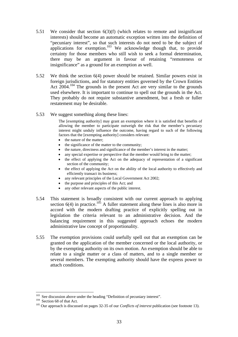- 5.51 We consider that section 6(3)(f) (which relates to remote and insignificant interests) should become an automatic exception written into the definition of "pecuniary interest", so that such interests do not need to be the subject of applications for exemption.<sup>103</sup> We acknowledge though that, to provide certainty for those members who still wish to seek a formal determination, there may be an argument in favour of retaining "remoteness or insignificance" as a ground for an exemption as well.
- 5.52 We think the section 6(4) power should be retained. Similar powers exist in foreign jurisdictions, and for statutory entities governed by the Crown Entities Act 2004.<sup>104</sup> The grounds in the present Act are very similar to the grounds used elsewhere. It is important to continue to spell out the grounds in the Act. They probably do not require substantive amendment, but a fresh or fuller restatement may be desirable.
- 5.53 We suggest something along these lines:

The [exempting authority] may grant an exemption where it is satisfied that benefits of allowing the member to participate outweigh the risk that the member's pecuniary interest might unduly influence the outcome, having regard to such of the following factors that the [exempting authority] considers relevant:

- the nature of the matter:
- the significance of the matter to the community;
- the nature, directness and significance of the member's interest in the matter;
- any special expertise or perspective that the member would bring to the matter;
- the effect of applying the Act on the adequacy of representation of a significant section of the community;
- the effect of applying the Act on the ability of the local authority to effectively and efficiently transact its business;
- any relevant principles of the Local Government Act 2002;
- the purpose and principles of this Act; and
- any other relevant aspects of the public interest.
- 5.54 This statement is broadly consistent with our current approach to applying section  $6(4)$  in practice.<sup>105</sup> A fuller statement along these lines is also more in accord with the modern drafting practice of explicitly spelling out in legislation the criteria relevant to an administrative decision. And the balancing requirement in this suggested approach echoes the modern administrative law concept of proportionality.
- 5.55 The exemption provisions could usefully spell out that an exemption can be granted on the application of the member concerned or the local authority, or by the exempting authority on its own motion. An exemption should be able to relate to a single matter or a class of matters, and to a single member or several members. The exempting authority should have the express power to attach conditions.

<sup>&</sup>lt;sup>103</sup> See discussion above under the heading "Definition of pecuniary interest".

<sup>&</sup>lt;sup>104</sup> Section 68 of that Act.<br><sup>105</sup> Our approach is discussed on pages 32-35 of our *Conflicts of interest* publication (see footnote 13).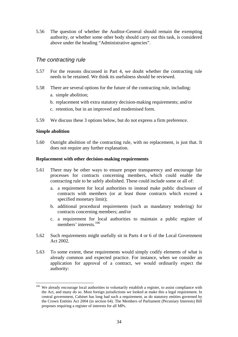5.56 The question of whether the Auditor-General should remain the exempting authority, or whether some other body should carry out this task, is considered above under the heading "Administrative agencies".

#### *The contracting rule*

- 5.57 For the reasons discussed in Part 4, we doubt whether the contracting rule needs to be retained. We think its usefulness should be reviewed.
- 5.58 There are several options for the future of the contracting rule, including: a. simple abolition;
	- b. replacement with extra statutory decision-making requirements; and/or
	- c. retention, but in an improved and modernised form.
- 5.59 We discuss these 3 options below, but do not express a firm preference.

#### **Simple abolition**

 $\overline{a}$ 

5.60 Outright abolition of the contracting rule, with no replacement, is just that. It does not require any further explanation.

#### **Replacement with other decision-making requirements**

- 5.61 There may be other ways to ensure proper transparency and encourage fair processes for contracts concerning members, which could enable the contracting rule to be safely abolished. These could include some or all of:
	- a. a requirement for local authorities to instead make public disclosure of contracts with members (or at least those contracts which exceed a specified monetary limit);
	- b. additional procedural requirements (such as mandatory tendering) for contracts concerning members; and/or
	- c. a requirement for local authorities to maintain a public register of members' interests.106
- 5.62 Such requirements might usefully sit in Parts 4 or 6 of the Local Government Act 2002.
- 5.63 To some extent, these requirements would simply codify elements of what is already common and expected practice. For instance, when we consider an application for approval of a contract, we would ordinarily expect the authority:

 $106$  We already encourage local authorities to voluntarily establish a register, to assist compliance with the Act, and many do so. Most foreign jurisdictions we looked at make this a legal requirement. In central government, Cabinet has long had such a requirement, as do statutory entities governed by the Crown Entities Act 2004 (in section 64). The Members of Parliament (Pecuniary Interests) Bill proposes requiring a register of interests for all MPs.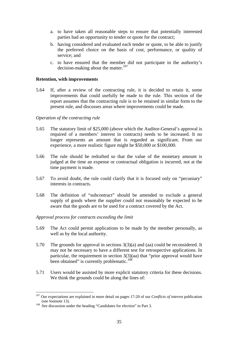- a. to have taken all reasonable steps to ensure that potentially interested parties had an opportunity to tender or quote for the contract;
- b. having considered and evaluated each tender or quote, to be able to justify the preferred choice on the basis of cost, performance, or quality of service; and
- c. to have ensured that the member did not participate in the authority's decision-making about the matter.<sup>107</sup>

#### **Retention, with improvements**

5.64 If, after a review of the contracting rule, it is decided to retain it, some improvements that could usefully be made to the rule. This section of the report assumes that the contracting rule is to be retained in similar form to the present rule, and discusses areas where improvements could be made.

#### *Operation of the contracting rule*

- 5.65 The statutory limit of \$25,000 (above which the Auditor-General's approval is required of a members' interest in contracts) needs to be increased. It no longer represents an amount that is regarded as significant. From our experience, a more realistic figure might be \$50,000 or \$100,000.
- 5.66 The rule should be redrafted so that the value of the monetary amount is judged at the time an expense or contractual obligation is incurred, not at the time payment is made.
- 5.67 To avoid doubt, the rule could clarify that it is focused only on "pecuniary" interests in contracts.
- 5.68 The definition of "subcontract" should be amended to exclude a general supply of goods where the supplier could not reasonably be expected to be aware that the goods are to be used for a contract covered by the Act.

#### *Approval process for contracts exceeding the limit*

- 5.69 The Act could permit applications to be made by the member personally, as well as by the local authority.
- 5.70 The grounds for approval in sections 3(3)(a) and (aa) could be reconsidered. It may not be necessary to have a different test for retrospective applications. In particular, the requirement in section 3(3)(aa) that "prior approval would have been obtained" is currently problematic.<sup>108</sup>
- 5.71 Users would be assisted by more explicit statutory criteria for these decisions. We think the grounds could be along the lines of:

<sup>107</sup> Our expectations are explained in more detail on pages 17-20 of our *Conflicts of interest* publication (see footnote 13).<br><sup>108</sup> See discussion under the heading "Candidates for election" in Part 3.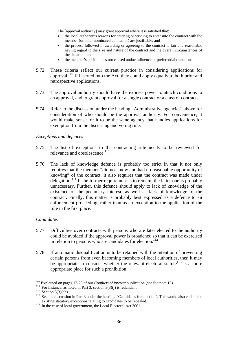The [approval authority] may grant approval where it is satisfied that:

- the local authority's reasons for entering or wishing to enter into the contract with the member (or other nominated contractor) are justifiable; and
- the process followed in awarding or agreeing to the contract is fair and reasonable having regard to the size and nature of the contract and the overall circumstances of the situation; and
- the member's position has not caused undue influence or preferential treatment.
- 5.72 These criteria reflect our current practice in considering applications for approval.<sup>109</sup> If inserted into the Act, they could apply equally to both prior and retrospective applications.
- 5.73 The approval authority should have the express power to attach conditions to an approval, and to grant approval for a single contract or a class of contracts.
- 5.74 Refer to the discussion under the heading "Administrative agencies" above for consideration of who should be the approval authority. For convenience, it would make sense for it to be the same agency that handles applications for exemption from the discussing and voting rule.

#### *Exceptions and defences*

- 5.75 The list of exceptions to the contracting rule needs to be reviewed for relevance and obsolescence.<sup>110</sup>
- 5.76 The lack of knowledge defence is probably too strict in that it not only requires that the member "did not know and had no reasonable opportunity of knowing" of the contract, it also requires that the contract was made under delegation.<sup>111</sup> If the former requirement is to remain, the latter one is probably unnecessary. Further, this defence should apply to lack of knowledge of the existence of the pecuniary interest, as well as lack of knowledge of the contract. Finally, this matter is probably best expressed as a defence to an enforcement proceeding, rather than as an exception to the application of the rule in the first place.

#### *Candidates*

- 5.77 Difficulties over contracts with persons who are later elected to the authority could be avoided if the approval power is broadened so that it can be exercised in relation to persons who are candidates for election.<sup>112</sup>
- 5.78 If automatic disqualification is to be retained with the intention of preventing certain persons from even becoming members of local authorities, then it may be appropriate to consider whether the relevant electoral statute<sup>113</sup> is a more appropriate place for such a prohibition.

 $109$  Explained on pages 17-20 of our *Conflicts of interest* publication (see footnote 13).

<sup>&</sup>lt;sup>110</sup> For instance, as noted in Part 3, section  $3(3)(j)$  is redundant.<br><sup>111</sup> Section  $3(3)(ab)$ .<br><sup>112</sup> See the discussion in Part 3 under the heading "Candidates for election". This would also enable the existing statutory

 $\frac{113}{113}$  In the case of local government, the Local Electoral Act 2001.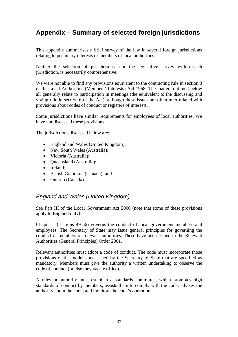## **Appendix – Summary of selected foreign jurisdictions**

This appendix summarises a brief survey of the law in several foreign jurisdictions relating to pecuniary interests of members of local authorities.

Neither the selection of jurisdictions, nor the legislative survey within each jurisdiction, is necessarily comprehensive.

We were not able to find any provisions equivalent to the contracting rule in section 3 of the Local Authorities (Members' Interests) Act 1968. The matters outlined below all generally relate to participation in meetings (the equivalent to the discussing and voting rule in section 6 of the Act), although these issues are often inter-related with provisions about codes of conduct or registers of interests.

Some jurisdictions have similar requirements for employees of local authorities. We have not discussed these provisions.

The jurisdictions discussed below are:

- England and Wales (United Kingdom);
- New South Wales (Australia);
- Victoria (Australia);
- Queensland (Australia);
- Ireland;
- British Columbia (Canada); and
- Ontario (Canada).

#### *England and Wales (United Kingdom)*

See Part III of the Local Government Act 2000 (note that some of these provisions apply to England only).

Chapter I (sections 49-56) governs the conduct of local government members and employees. The Secretary of State may issue general principles for governing the conduct of members of relevant authorities. These have been issued in the Relevant Authorities (General Principles) Order 2001.

Relevant authorities must adopt a code of conduct. The code must incorporate those provisions of the model code issued by the Secretary of State that are specified as mandatory. Members must give the authority a written undertaking to observe the code of conduct (or else they vacate office).

A relevant authority must establish a standards committee, which promotes high standards of conduct by members; assists them to comply with the code; advises the authority about the code; and monitors the code's operation.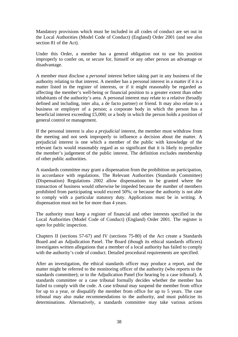Mandatory provisions which must be included in all codes of conduct are set out in the Local Authorities (Model Code of Conduct) (England) Order 2001 (and see also section 81 of the Act).

Under this Order, a member has a general obligation not to use his position improperly to confer on, or secure for, himself or any other person an advantage or disadvantage.

A member must disclose a *personal* interest before taking part in any business of the authority relating to that interest. A member has a personal interest in a matter if it is a matter listed in the register of interests, or if it might reasonably be regarded as affecting the member's well-being or financial position to a greater extent than other inhabitants of the authority's area. A personal interest may relate to a relative (broadly defined and including, inter alia, a de facto partner) or friend. It may also relate to a business or employer of a person; a corporate body in which the person has a beneficial interest exceeding £5,000; or a body in which the person holds a position of general control or management.

If the personal interest is also a *prejudicial* interest, the member must withdraw from the meeting and not seek improperly to influence a decision about the matter. A prejudicial interest is one which a member of the public with knowledge of the relevant facts would reasonably regard as so significant that it is likely to prejudice the member's judgement of the public interest. The definition excludes membership of other public authorities.

A standards committee may grant a dispensation from the prohibition on participation, in accordance with regulations. The Relevant Authorities (Standards Committee) (Dispensation) Regulations 2002 allow dispensations to be granted where the transaction of business would otherwise be impeded because the number of members prohibited from participating would exceed 50%; or because the authority is not able to comply with a particular statutory duty. Applications must be in writing. A dispensation must not be for more than 4 years.

The authority must keep a register of financial and other interests specified in the Local Authorities (Model Code of Conduct) (England) Order 2001. The register is open for public inspection.

Chapters II (sections 57-67) and IV (sections 75-80) of the Act create a Standards Board and an Adjudication Panel. The Board (though its ethical standards officers) investigates written allegations that a member of a local authority has failed to comply with the authority's code of conduct. Detailed procedural requirements are specified.

After an investigation, the ethical standards officer may produce a report, and the matter might be referred to the monitoring officer of the authority (who reports to the standards committee); or to the Adjudication Panel (for hearing by a case tribunal). A standards committee or a case tribunal formally decides whether the member has failed to comply with the code. A case tribunal may suspend the member from office for up to a year, or disqualify the member from office for up to 5 years. The case tribunal may also make recommendations to the authority, and must publicise its determinations. Alternatively, a standards committee may take various actions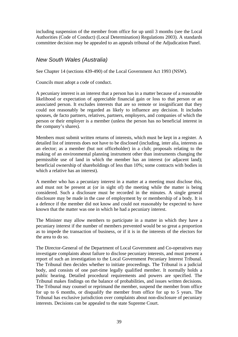including suspension of the member from office for up until 3 months (see the Local Authorities (Code of Conduct) (Local Determination) Regulations 2003). A standards committee decision may be appealed to an appeals tribunal of the Adjudication Panel.

#### *New South Wales (Australia)*

See Chapter 14 (sections 439-490) of the Local Government Act 1993 (NSW).

Councils must adopt a code of conduct.

A pecuniary interest is an interest that a person has in a matter because of a reasonable likelihood or expectation of appreciable financial gain or loss to that person or an associated person. It excludes interests that are so remote or insignificant that they could not reasonably be regarded as likely to influence any decision. It includes spouses, de facto partners, relatives, partners, employers, and companies of which the person or their employer is a member (unless the person has no beneficial interest in the company's shares).

Members must submit written returns of interests, which must be kept in a register. A detailed list of interests does not have to be disclosed (including, inter alia, interests as an elector; as a member (but not officeholder) in a club; proposals relating to the making of an environmental planning instrument other than instruments changing the permissible use of land in which the member has an interest (or adjacent land); beneficial ownership of shareholdings of less than 10%; some contracts with bodies in which a relative has an interest).

A member who has a pecuniary interest in a matter at a meeting must disclose this, and must not be present at (or in sight of) the meeting while the matter is being considered. Such a disclosure must be recorded in the minutes. A single general disclosure may be made in the case of employment by or membership of a body. It is a defence if the member did not know and could not reasonably be expected to have known that the matter was one in which he had a pecuniary interest.

The Minister may allow members to participate in a matter in which they have a pecuniary interest if the number of members prevented would be so great a proportion as to impede the transaction of business, or if it is in the interests of the electors for the area to do so.

The Director-General of the Department of Local Government and Co-operatives may investigate complaints about failure to disclose pecuniary interests, and must present a report of such an investigation to the Local Government Pecuniary Interest Tribunal. The Tribunal then decides whether to initiate proceedings. The Tribunal is a judicial body, and consists of one part-time legally qualified member. It normally holds a public hearing. Detailed procedural requirements and powers are specified. The Tribunal makes findings on the balance of probabilities, and issues written decisions. The Tribunal may counsel or reprimand the member, suspend the member from office for up to 6 months, or disqualify the member from office for up to 5 years. The Tribunal has exclusive jurisdiction over complaints about non-disclosure of pecuniary interests. Decisions can be appealed to the state Supreme Court.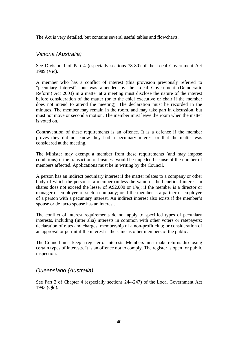The Act is very detailed, but contains several useful tables and flowcharts.

#### *Victoria (Australia)*

See Division 1 of Part 4 (especially sections 78-80) of the Local Government Act 1989 (Vic).

A member who has a conflict of interest (this provision previously referred to "pecuniary interest", but was amended by the Local Government (Democratic Reform) Act 2003) in a matter at a meeting must disclose the nature of the interest before consideration of the matter (or to the chief executive or chair if the member does not intend to attend the meeting). The declaration must be recorded in the minutes. The member may remain in the room, and may take part in discussion, but must not move or second a motion. The member must leave the room when the matter is voted on.

Contravention of these requirements is an offence. It is a defence if the member proves they did not know they had a pecuniary interest or that the matter was considered at the meeting.

The Minister may exempt a member from these requirements (and may impose conditions) if the transaction of business would be impeded because of the number of members affected. Applications must be in writing by the Council.

A person has an indirect pecuniary interest if the matter relates to a company or other body of which the person is a member (unless the value of the beneficial interest in shares does not exceed the lesser of A\$2,000 or 1%); if the member is a director or manager or employee of such a company; or if the member is a partner or employee of a person with a pecuniary interest. An indirect interest also exists if the member's spouse or de facto spouse has an interest.

The conflict of interest requirements do not apply to specified types of pecuniary interests, including (inter alia) interests in common with other voters or ratepayers; declaration of rates and charges; membership of a non-profit club; or consideration of an approval or permit if the interest is the same as other members of the public.

The Council must keep a register of interests. Members must make returns disclosing certain types of interests. It is an offence not to comply. The register is open for public inspection.

#### *Queensland (Australia)*

See Part 3 of Chapter 4 (especially sections 244-247) of the Local Government Act 1993 (Qld).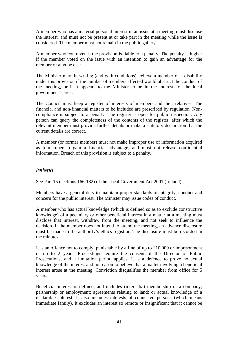A member who has a material personal interest in an issue at a meeting must disclose the interest, and must not be present at or take part in the meeting while the issue is considered. The member must not remain in the public gallery.

A member who contravenes the provision is liable to a penalty. The penalty is higher if the member voted on the issue with an intention to gain an advantage for the member or anyone else.

The Minister may, in writing (and with conditions), relieve a member of a disability under this provision if the number of members affected would obstruct the conduct of the meeting, or if it appears to the Minister to be in the interests of the local government's area.

The Council must keep a register of interests of members and their relatives. The financial and non-financial matters to be included are prescribed by regulation. Noncompliance is subject to a penalty. The register is open for public inspection. Any person can query the completeness of the contents of the register, after which the relevant member must provide further details or make a statutory declaration that the current details are correct.

A member (or former member) must not make improper use of information acquired as a member to gain a financial advantage, and must not release confidential information. Breach of this provision is subject to a penalty.

#### *Ireland*

See Part 15 (sections 166-182) of the Local Government Act 2001 (Ireland).

Members have a general duty to maintain proper standards of integrity, conduct and concern for the public interest. The Minister may issue codes of conduct.

A member who has actual knowledge (which is defined so as to exclude constructive knowledge) of a pecuniary or other beneficial interest in a matter at a meeting must disclose that interest, withdraw from the meeting, and not seek to influence the decision. If the member does not intend to attend the meeting, an advance disclosure must be made to the authority's ethics registrar. The disclosure must be recorded in the minutes.

It is an offence not to comply, punishable by a fine of up to £10,000 or imprisonment of up to 2 years. Proceedings require the consent of the Director of Public Prosecutions, and a limitation period applies. It is a defence to prove no actual knowledge of the interest and no reason to believe that a matter involving a beneficial interest arose at the meeting. Conviction disqualifies the member from office for 5 years.

Beneficial interest is defined, and includes (inter alia) membership of a company; partnership or employment; agreements relating to land; or actual knowledge of a declarable interest. It also includes interests of connected persons (which means immediate family). It excludes an interest so remote or insignificant that it cannot be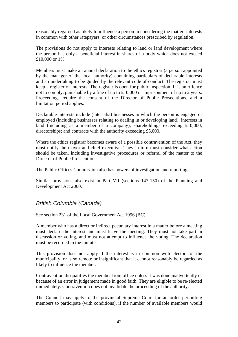reasonably regarded as likely to influence a person in considering the matter; interests in common with other ratepayers; or other circumstances prescribed by regulation.

The provisions do not apply to interests relating to land or land development where the person has only a beneficial interest in shares of a body which does not exceed £10,000 or 1%.

Members must make an annual declaration to the ethics registrar (a person appointed by the manager of the local authority) containing particulars of declarable interests and an undertaking to be guided by the relevant code of conduct. The registrar must keep a register of interests. The register is open for public inspection. It is an offence not to comply, punishable by a fine of up to £10,000 or imprisonment of up to 2 years. Proceedings require the consent of the Director of Public Prosecutions, and a limitation period applies.

Declarable interests include (inter alia) businesses in which the person is engaged or employed (including businesses relating to dealing in or developing land); interests in land (including as a member of a company); shareholdings exceeding £10,000; directorships; and contracts with the authority exceeding £5,000.

Where the ethics registrar becomes aware of a possible contravention of the Act, they must notify the mayor and chief executive. They in turn must consider what action should be taken, including investigative procedures or referral of the matter to the Director of Public Prosecutions.

The Public Offices Commission also has powers of investigation and reporting.

Similar provisions also exist in Part VII (sections 147-150) of the Planning and Development Act 2000.

#### *British Columbia (Canada)*

See section 231 of the Local Government Act 1996 (BC).

A member who has a direct or indirect pecuniary interest in a matter before a meeting must declare the interest and must leave the meeting. They must not take part in discussion or voting, and must not attempt to influence the voting. The declaration must be recorded in the minutes.

This provision does not apply if the interest is in common with electors of the municipality, or is so remote or insignificant that it cannot reasonably be regarded as likely to influence the member.

Contravention disqualifies the member from office unless it was done inadvertently or because of an error in judgement made in good faith. They are eligible to be re-elected immediately. Contravention does not invalidate the proceeding of the authority.

The Council may apply to the provincial Supreme Court for an order permitting members to participate (with conditions), if the number of available members would